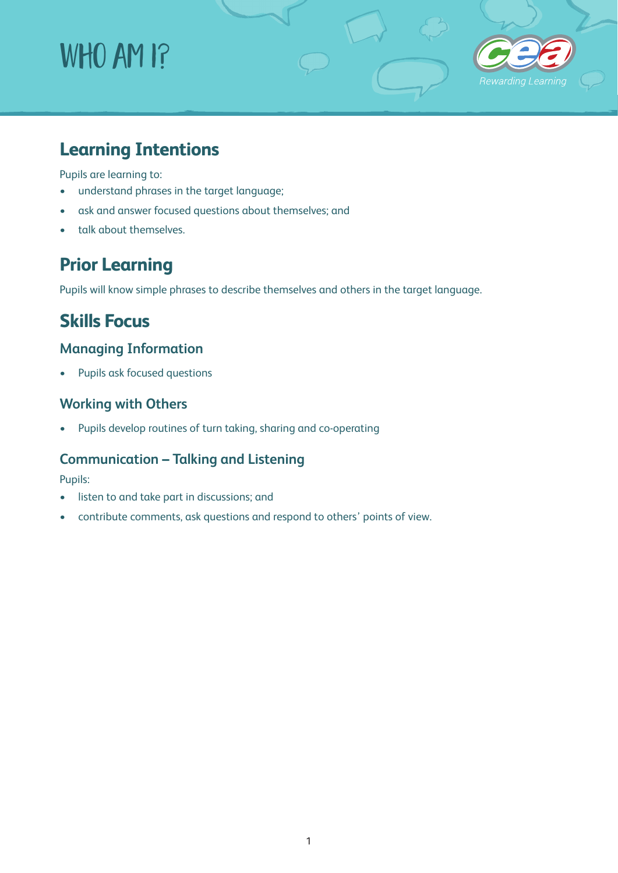# WHO AM I?



# **Learning Intentions**

Pupils are learning to:

- understand phrases in the target language;
- ask and answer focused questions about themselves; and
- talk about themselves.

# **Prior Learning**

Pupils will know simple phrases to describe themselves and others in the target language.

## **Skills Focus**

## **Managing Information**

• Pupils ask focused questions

## **Working with Others**

• Pupils develop routines of turn taking, sharing and co-operating

### **Communication – Talking and Listening**

Pupils:

- listen to and take part in discussions; and
- contribute comments, ask questions and respond to others' points of view.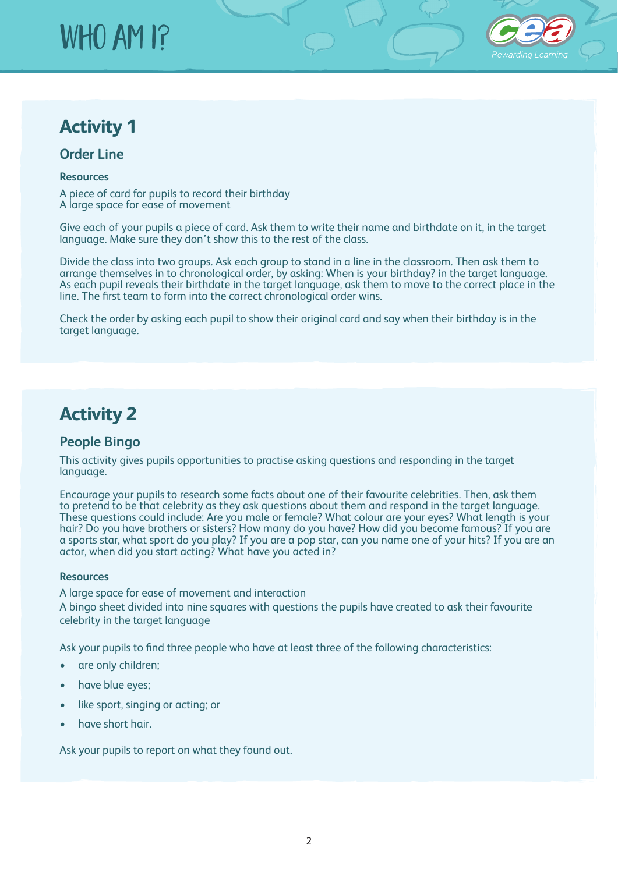# WHO AM I?



## **Activity 1**

#### **Order Line**

#### **Resources**

A piece of card for pupils to record their birthday A large space for ease of movement

Give each of your pupils a piece of card. Ask them to write their name and birthdate on it, in the target language. Make sure they don't show this to the rest of the class.

Divide the class into two groups. Ask each group to stand in a line in the classroom. Then ask them to arrange themselves in to chronological order, by asking: When is your birthday? in the target language. As each pupil reveals their birthdate in the target language, ask them to move to the correct place in the line. The first team to form into the correct chronological order wins.

Check the order by asking each pupil to show their original card and say when their birthday is in the target language.

## **Activity 2**

### **People Bingo**

This activity gives pupils opportunities to practise asking questions and responding in the target language.

Encourage your pupils to research some facts about one of their favourite celebrities. Then, ask them to pretend to be that celebrity as they ask questions about them and respond in the target language. These questions could include: Are you male or female? What colour are your eyes? What length is your hair? Do you have brothers or sisters? How many do you have? How did you become famous? If you are a sports star, what sport do you play? If you are a pop star, can you name one of your hits? If you are an actor, when did you start acting? What have you acted in?

#### **Resources**

A large space for ease of movement and interaction

A bingo sheet divided into nine squares with questions the pupils have created to ask their favourite celebrity in the target language

Ask your pupils to find three people who have at least three of the following characteristics:

- are only children;
- have blue eyes;
- like sport, singing or acting; or
- have short hair.

Ask your pupils to report on what they found out.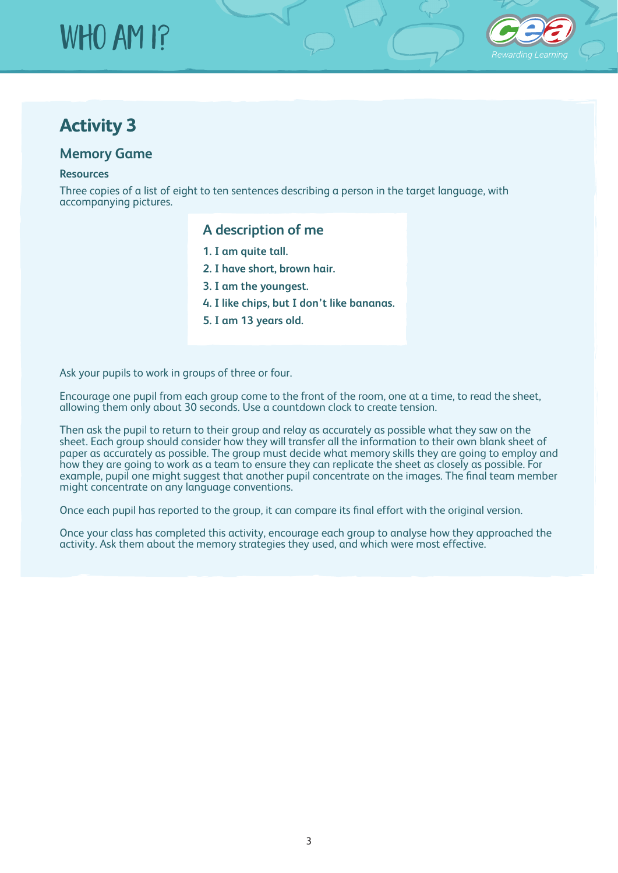# WHO AM I?



## **Activity 3**

#### **Memory Game**

#### **Resources**

Three copies of a list of eight to ten sentences describing a person in the target language, with accompanying pictures.

### **A description of me**

- **1. I am quite tall.**
- **2. I have short, brown hair.**
- **3. I am the youngest.**
- **4. I like chips, but I don't like bananas.**
- **5. I am 13 years old.**

Ask your pupils to work in groups of three or four.

Encourage one pupil from each group come to the front of the room, one at a time, to read the sheet, allowing them only about 30 seconds. Use a countdown clock to create tension.

Then ask the pupil to return to their group and relay as accurately as possible what they saw on the sheet. Each group should consider how they will transfer all the information to their own blank sheet of paper as accurately as possible. The group must decide what memory skills they are going to employ and how they are going to work as a team to ensure they can replicate the sheet as closely as possible. For example, pupil one might suggest that another pupil concentrate on the images. The final team member might concentrate on any language conventions.

Once each pupil has reported to the group, it can compare its final effort with the original version.

Once your class has completed this activity, encourage each group to analyse how they approached the activity. Ask them about the memory strategies they used, and which were most effective.